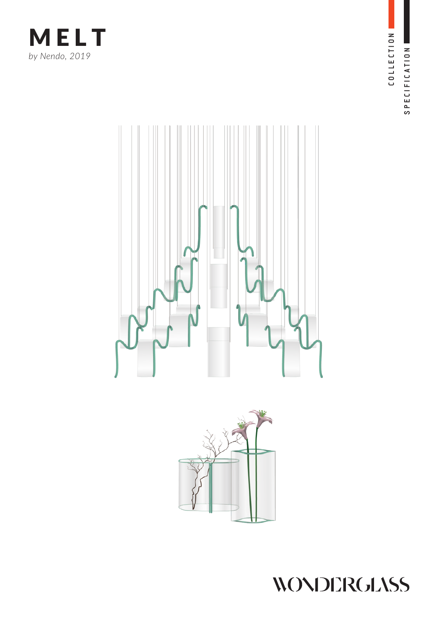







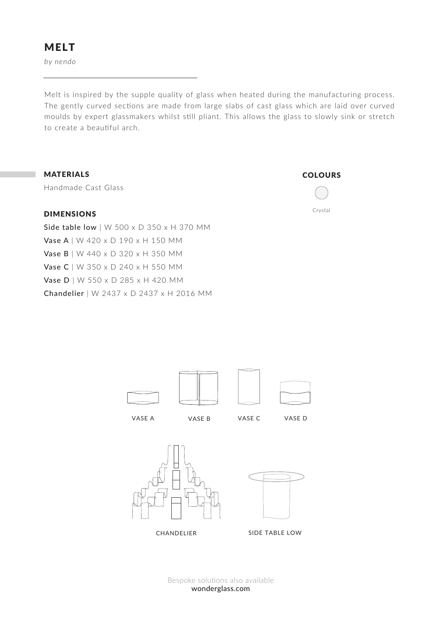*by nendo*

Melt is inspired by the supple quality of glass when heated during the manufacturing process. The gently curved sections are made from large slabs of cast glass which are laid over curved moulds by expert glassmakers whilst still pliant. This allows the glass to slowly sink or stretch to create a beautiful arch.

## MATERIALS

Handmade Cast Glass

## DIMENSIONS

Side table low | W 500 x D 350 x H 370 MM Vase A | W 420 x D 190 x H 150 MM Vase B | W 440 x D 320 x H 350 MM Vase C | W 350 x D 240 x H 550 MM Vase D | W 550 x D 285 x H 420 MM Chandelier | W 2437 x D 2437 x H 2016 MM









wonderglass.com Bespoke solutions also available **COLOURS** 

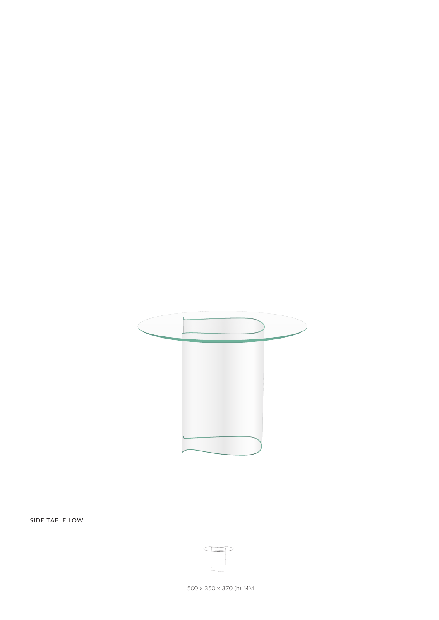

SIDE TABLE LOW

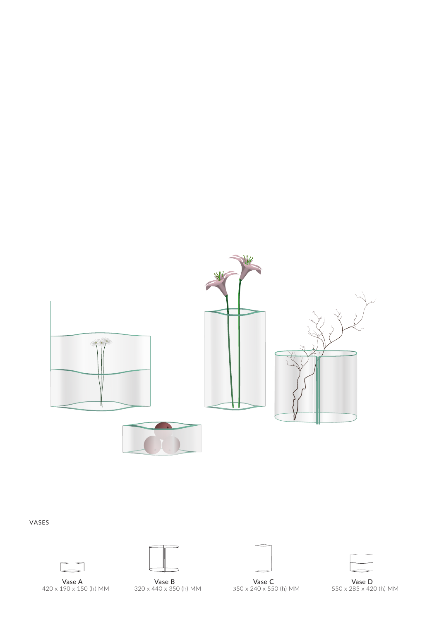

## VASES





Vase A Vase B Vase C Vase D 420 x 190 x 150 (h) MM 320 x 440 x 350 (h) MM 350 x 240 x 550 (h) MM 550 x 285 x 420 (h) MM

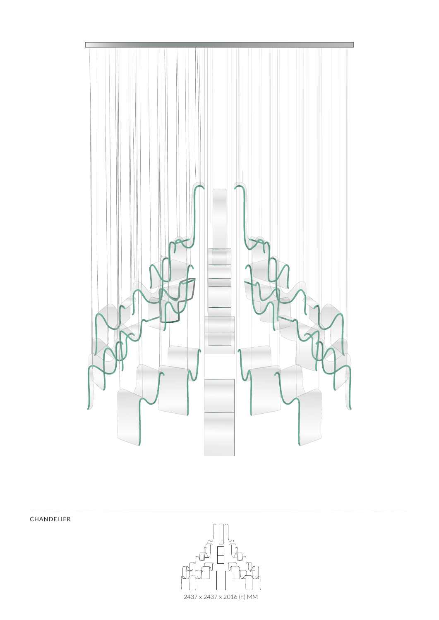

CHANDELIER